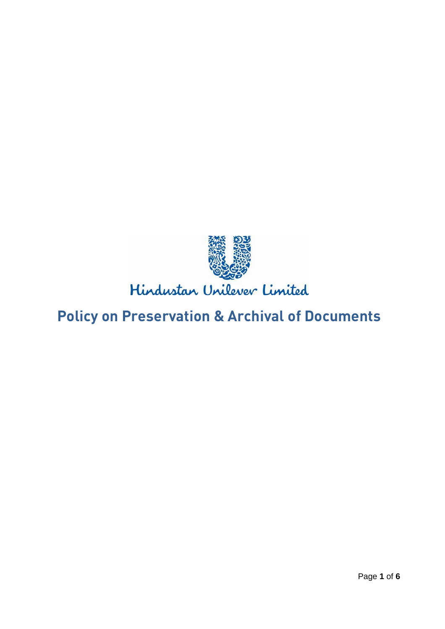

# **Policy on Preservation & Archival of Documents**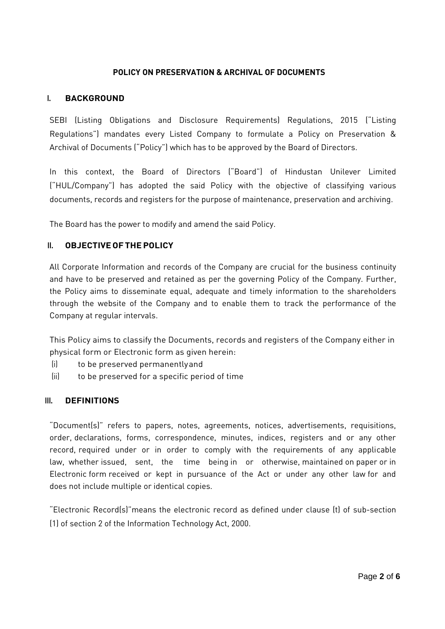#### **POLICY ON PRESERVATION & ARCHIVAL OF DOCUMENTS**

#### **I. BACKGROUND**

SEBI (Listing Obligations and Disclosure Requirements) Regulations, 2015 ("Listing Regulations") mandates every Listed Company to formulate a Policy on Preservation & Archival of Documents ("Policy") which has to be approved by the Board of Directors.

In this context, the Board of Directors ("Board") of Hindustan Unilever Limited ("HUL/Company") has adopted the said Policy with the objective of classifying various documents, records and registers for the purpose of maintenance, preservation and archiving.

The Board has the power to modify and amend the said Policy.

#### **II. OBJECTIVEOFTHEPOLICY**

All Corporate Information and records of the Company are crucial for the business continuity and have to be preserved and retained as per the governing Policy of the Company. Further, the Policy aims to disseminate equal, adequate and timely information to the shareholders through the website of the Company and to enable them to track the performance of the Company at regular intervals.

This Policy aims to classify the Documents, records and registers of the Company either in physical form or Electronic form as given herein:

- (i) to be preserved permanentlyand
- (ii) to be preserved for a specific period of time

#### **III. DEFINITIONS**

"Document(s)" refers to papers, notes, agreements, notices, advertisements, requisitions, order, declarations, forms, correspondence, minutes, indices, registers and or any other record, required under or in order to comply with the requirements of any applicable law, whether issued, sent, the time being in or otherwise, maintained on paper or in Electronic form received or kept in pursuance of the Act or under any other law for and does not include multiple or identical copies.

"Electronic Record(s)"means the electronic record as defined under clause (t) of sub-section (1) of section 2 of the Information Technology Act, 2000.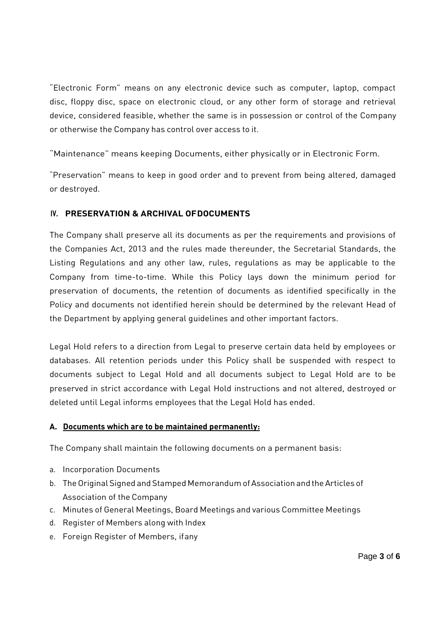"Electronic Form" means on any electronic device such as computer, laptop, compact disc, floppy disc, space on electronic cloud, or any other form of storage and retrieval device, considered feasible, whether the same is in possession or control of the Company or otherwise the Company has control over access to it.

"Maintenance" means keeping Documents, either physically or in Electronic Form.

"Preservation" means to keep in good order and to prevent from being altered, damaged or destroyed.

## **IV. PRESERVATION & ARCHIVAL OFDOCUMENTS**

The Company shall preserve all its documents as per the requirements and provisions of the Companies Act, 2013 and the rules made thereunder, the Secretarial Standards, the Listing Regulations and any other law, rules, regulations as may be applicable to the Company from time-to-time. While this Policy lays down the minimum period for preservation of documents, the retention of documents as identified specifically in the Policy and documents not identified herein should be determined by the relevant Head of the Department by applying general guidelines and other important factors.

Legal Hold refers to a direction from Legal to preserve certain data held by employees or databases. All retention periods under this Policy shall be suspended with respect to documents subject to Legal Hold and all documents subject to Legal Hold are to be preserved in strict accordance with Legal Hold instructions and not altered, destroyed or deleted until Legal informs employees that the Legal Hold has ended.

## **A. Documents which are to be maintained permanently:**

The Company shall maintain the following documents on a permanent basis:

- a. Incorporation Documents
- b. The Original Signed and Stamped Memorandum of Association and the Articles of Association of the Company
- c. Minutes of General Meetings, Board Meetings and various Committee Meetings
- d. Register of Members along with Index
- e. Foreign Register of Members, ifany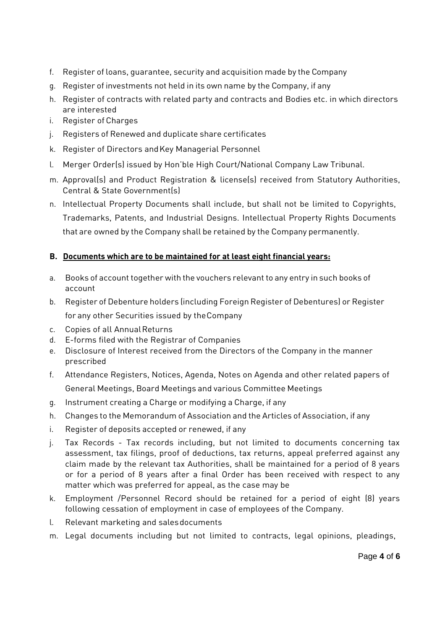- f. Register of loans, guarantee, security and acquisition made by the Company
- g. Register of investments not held in its own name by the Company, if any
- h. Register of contracts with related party and contracts and Bodies etc. in which directors are interested
- i. Register of Charges
- j. Registers of Renewed and duplicate share certificates
- k. Register of Directors andKey Managerial Personnel
- l. Merger Order(s) issued by Hon'ble High Court/National Company Law Tribunal.
- m. Approval(s) and Product Registration & license(s) received from Statutory Authorities, Central & State Government(s)
- n. Intellectual Property Documents shall include, but shall not be limited to Copyrights, Trademarks, Patents, and Industrial Designs. Intellectual Property Rights Documents that are owned by the Company shall be retained by the Company permanently.

## **B. Documents which are to be maintained for at least eight financial years:**

- a. Books of account together with the vouchers relevant to any entry in such books of account
- b. Register of Debenture holders (including Foreign Register of Debentures) or Register for any other Securities issued by theCompany
- c. Copies of all AnnualReturns
- d. E-forms filed with the Registrar of Companies
- e. Disclosure of Interest received from the Directors of the Company in the manner prescribed
- f. Attendance Registers, Notices, Agenda, Notes on Agenda and other related papers of General Meetings, Board Meetings and various Committee Meetings
- g. Instrument creating a Charge or modifying a Charge, if any
- h. Changes to the Memorandum of Association and the Articles of Association, if any
- i. Register of deposits accepted or renewed, if any
- j. Tax Records Tax records including, but not limited to documents concerning tax assessment, tax filings, proof of deductions, tax returns, appeal preferred against any claim made by the relevant tax Authorities, shall be maintained for a period of 8 years or for a period of 8 years after a final Order has been received with respect to any matter which was preferred for appeal, as the case may be
- k. Employment /Personnel Record should be retained for a period of eight (8) years following cessation of employment in case of employees of the Company.
- l. Relevant marketing and salesdocuments
- m. Legal documents including but not limited to contracts, legal opinions, pleadings,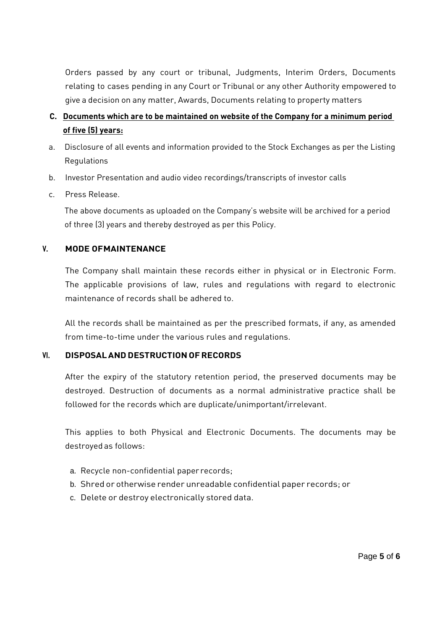Orders passed by any court or tribunal, Judgments, Interim Orders, Documents relating to cases pending in any Court or Tribunal or any other Authority empowered to give a decision on any matter, Awards, Documents relating to property matters

## **C. Documents which are to be maintained on website of the Company for a minimum period of five (5) years:**

- a. Disclosure of all events and information provided to the Stock Exchanges as per the Listing Regulations
- b. Investor Presentation and audio video recordings/transcripts of investor calls
- c. Press Release.

The above documents as uploaded on the Company's website will be archived for a period of three (3) years and thereby destroyed as per this Policy.

### **V. MODE OFMAINTENANCE**

The Company shall maintain these records either in physical or in Electronic Form. The applicable provisions of law, rules and regulations with regard to electronic maintenance of records shall be adhered to.

All the records shall be maintained as per the prescribed formats, if any, as amended from time-to-time under the various rules and regulations.

#### **VI. DISPOSALANDDESTRUCTION OFRECORDS**

After the expiry of the statutory retention period, the preserved documents may be destroyed. Destruction of documents as a normal administrative practice shall be followed for the records which are duplicate/unimportant/irrelevant.

This applies to both Physical and Electronic Documents. The documents may be destroyed as follows:

- a. Recycle non-confidential paper records;
- b. Shred or otherwise render unreadable confidential paper records; or
- c. Delete or destroy electronically stored data.